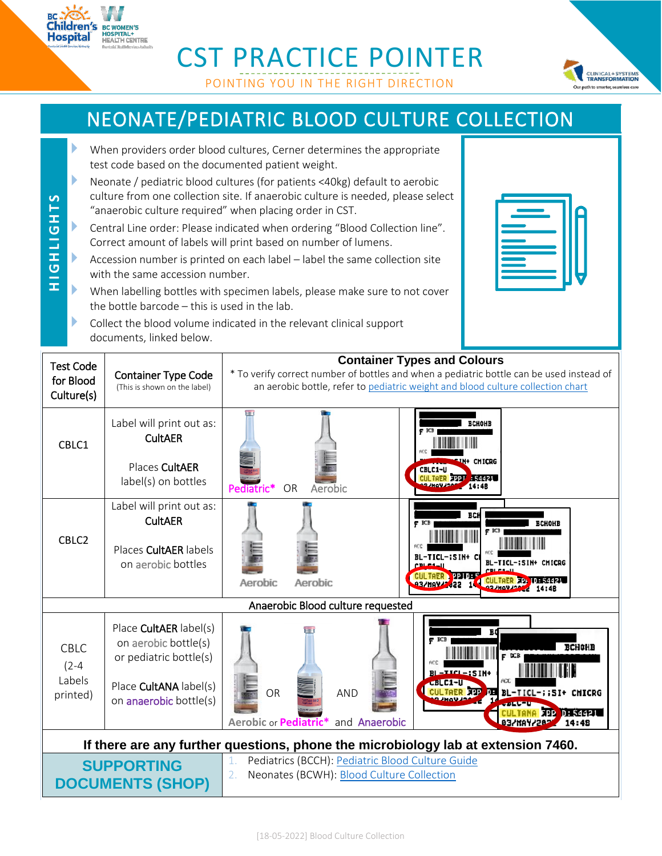## CST PRACTICE POINTER

POINTING YOU IN THE RIGHT DIRECTION

## NEONATE/PEDIATRIC BLOOD CULTURE COLLECTION

 When providers order blood cultures, Cerner determines the appropriate test code based on the documented patient weight.

**Children's** 

**BC WOMEN'S HOSPITAL+<br>HOSPITAL+**<br>HEALTH CENTRE

- Neonate / pediatric blood cultures (for patients <40kg) default to aerobic culture from one collection site. If anaerobic culture is needed, please select "anaerobic culture required" when placing order in CST.
- **H I G H L I G H T S HIGHLIGHTS**  Central Line order: Please indicated when ordering "Blood Collection line". Correct amount of labels will print based on number of lumens.
	- Accession number is printed on each label label the same collection site with the same accession number.
	- When labelling bottles with specimen labels, please make sure to not cover the bottle barcode – this is used in the lab.
	- Collect the blood volume indicated in the relevant clinical support documents, linked below.



**CLINICAL + SYSTEMS**<br>**TRANSFORMATION** r path to smarter seamless care